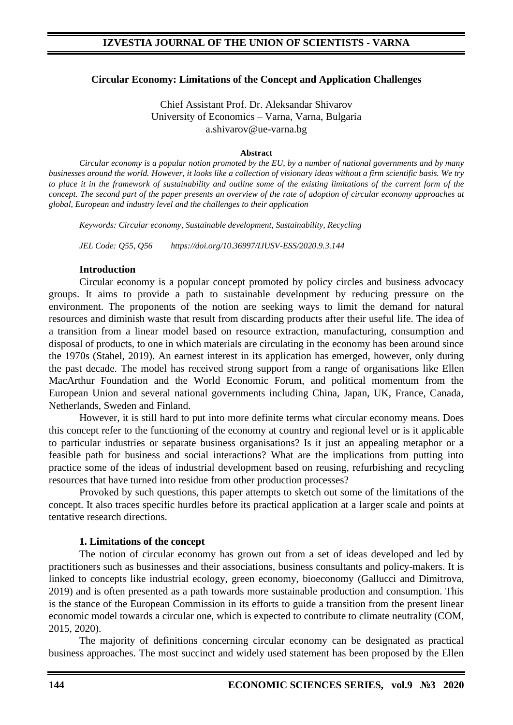## **Circular Economy: Limitations of the Concept and Application Challenges**

Chief Assistant Prof. Dr. Aleksandar Shivarov University of Economics – Varna, Varna, Bulgaria a.shivarov@ue-varna.bg

#### **Abstract**

*Circular economy is a popular notion promoted by the EU, by a number of national governments and by many businesses around the world. However, it looks like a collection of visionary ideas without a firm scientific basis. We try to place it in the framework of sustainability and outline some of the existing limitations of the current form of the concept. The second part of the paper presents an overview of the rate of adoption of circular economy approaches at global, European and industry level and the challenges to their application*

*Keywords: Circular economy, Sustainable development, Sustainability, Recycling*

*JEL Code: Q55, Q56 https://doi.org/10.36997/IJUSV-ESS/2020.9.3.144*

### **Introduction**

Circular economy is a popular concept promoted by policy circles and business advocacy groups. It aims to provide a path to sustainable development by reducing pressure on the environment. The proponents of the notion are seeking ways to limit the demand for natural resources and diminish waste that result from discarding products after their useful life. The idea of a transition from a linear model based on resource extraction, manufacturing, consumption and disposal of products, to one in which materials are circulating in the economy has been around since the 1970s (Stahel, 2019). An earnest interest in its application has emerged, however, only during the past decade. The model has received strong support from a range of organisations like Ellen MacArthur Foundation and the World Economic Forum, and political momentum from the European Union and several national governments including China, Japan, UK, France, Canada, Netherlands, Sweden and Finland.

However, it is still hard to put into more definite terms what circular economy means. Does this concept refer to the functioning of the economy at country and regional level or is it applicable to particular industries or separate business organisations? Is it just an appealing metaphor or a feasible path for business and social interactions? What are the implications from putting into practice some of the ideas of industrial development based on reusing, refurbishing and recycling resources that have turned into residue from other production processes?

Provoked by such questions, this paper attempts to sketch out some of the limitations of the concept. It also traces specific hurdles before its practical application at a larger scale and points at tentative research directions.

## **1. Limitations of the concept**

The notion of circular economy has grown out from a set of ideas developed and led by practitioners such as businesses and their associations, business consultants and policy-makers. It is linked to concepts like industrial ecology, green economy, bioeconomy (Gallucci and Dimitrova, 2019) and is often presented as a path towards more sustainable production and consumption. This is the stance of the European Commission in its efforts to guide a transition from the present linear economic model towards a circular one, which is expected to contribute to climate neutrality (COM, 2015, 2020).

The majority of definitions concerning circular economy can be designated as practical business approaches. The most succinct and widely used statement has been proposed by the Ellen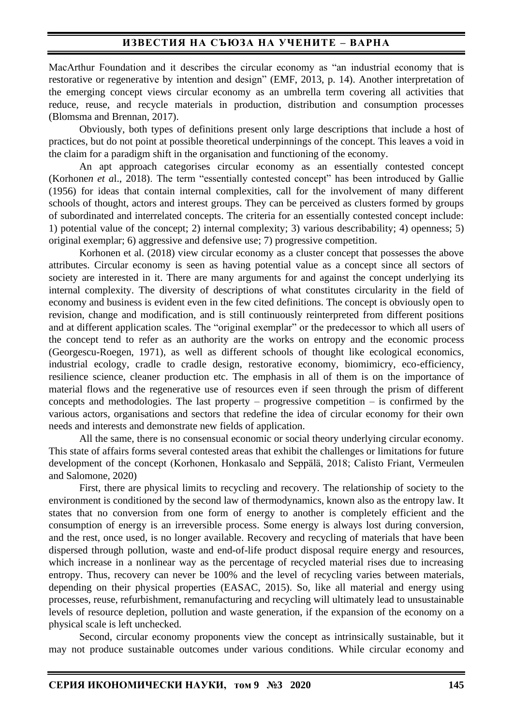# **ИЗВЕСТИЯ НА СЪЮЗА НА УЧЕНИТЕ – ВАРНА**

MacArthur Foundation and it describes the circular economy as "an industrial economy that is restorative or regenerative by intention and design" (EMF, 2013, p. 14). Another interpretation of the emerging concept views circular economy as an umbrella term covering all activities that reduce, reuse, and recycle materials in production, distribution and consumption processes (Blomsma and Brennan, 2017).

Obviously, both types of definitions present only large descriptions that include a host of practices, but do not point at possible theoretical underpinnings of the concept. This leaves a void in the claim for a paradigm shift in the organisation and functioning of the economy.

An apt approach categorises circular economy as an essentially contested concept (Korhone*n et a*l., 2018). The term "essentially contested concept" has been introduced by Gallie (1956) for ideas that contain internal complexities, call for the involvement of many different schools of thought, actors and interest groups. They can be perceived as clusters formed by groups of subordinated and interrelated concepts. The criteria for an essentially contested concept include: 1) potential value of the concept; 2) internal complexity; 3) various describability; 4) openness; 5) original exemplar; 6) aggressive and defensive use; 7) progressive competition.

Korhonen et al. (2018) view circular economy as a cluster concept that possesses the above attributes. Circular economy is seen as having potential value as a concept since all sectors of society are interested in it. There are many arguments for and against the concept underlying its internal complexity. The diversity of descriptions of what constitutes circularity in the field of economy and business is evident even in the few cited definitions. The concept is obviously open to revision, change and modification, and is still continuously reinterpreted from different positions and at different application scales. The "original exemplar" or the predecessor to which all users of the concept tend to refer as an authority are the works on entropy and the economic process (Georgescu-Roegen, 1971), as well as different schools of thought like ecological economics, industrial ecology, cradle to cradle design, restorative economy, biomimicry, eco-efficiency, resilience science, cleaner production etc. The emphasis in all of them is on the importance of material flows and the regenerative use of resources even if seen through the prism of different concepts and methodologies. The last property – progressive competition – is confirmed by the various actors, organisations and sectors that redefine the idea of circular economy for their own needs and interests and demonstrate new fields of application.

All the same, there is no consensual economic or social theory underlying circular economy. This state of affairs forms several contested areas that exhibit the challenges or limitations for future development of the concept (Korhonen, Honkasalo and Seppälä, 2018; Calisto Friant, Vermeulen and Salomone, 2020)

First, there are physical limits to recycling and recovery. The relationship of society to the environment is conditioned by the second law of thermodynamics, known also as the entropy law. It states that no conversion from one form of energy to another is completely efficient and the consumption of energy is an irreversible process. Some energy is always lost during conversion, and the rest, once used, is no longer available. Recovery and recycling of materials that have been dispersed through pollution, waste and end-of-life product disposal require energy and resources, which increase in a nonlinear way as the percentage of recycled material rises due to increasing entropy. Thus, recovery can never be 100% and the level of recycling varies between materials, depending on their physical properties (EASAC, 2015). So, like all material and energy using processes, reuse, refurbishment, remanufacturing and recycling will ultimately lead to unsustainable levels of resource depletion, pollution and waste generation, if the expansion of the economy on a physical scale is left unchecked.

Second, circular economy proponents view the concept as intrinsically sustainable, but it may not produce sustainable outcomes under various conditions. While circular economy and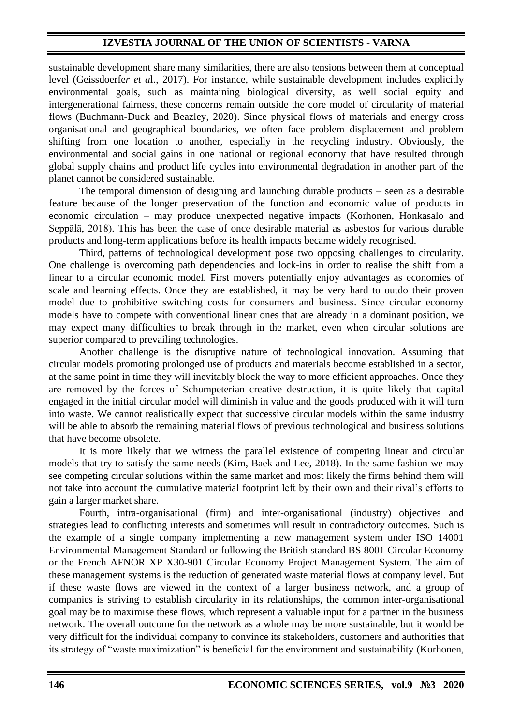sustainable development share many similarities, there are also tensions between them at conceptual level (Geissdoerfe*r et a*l., 2017). For instance, while sustainable development includes explicitly environmental goals, such as maintaining biological diversity, as well social equity and intergenerational fairness, these concerns remain outside the core model of circularity of material flows (Buchmann-Duck and Beazley, 2020). Since physical flows of materials and energy cross organisational and geographical boundaries, we often face problem displacement and problem shifting from one location to another, especially in the recycling industry. Obviously, the environmental and social gains in one national or regional economy that have resulted through global supply chains and product life cycles into environmental degradation in another part of the planet cannot be considered sustainable.

The temporal dimension of designing and launching durable products – seen as a desirable feature because of the longer preservation of the function and economic value of products in economic circulation – may produce unexpected negative impacts (Korhonen, Honkasalo and Seppälä, 2018). This has been the case of once desirable material as asbestos for various durable products and long-term applications before its health impacts became widely recognised.

Third, patterns of technological development pose two opposing challenges to circularity. One challenge is overcoming path dependencies and lock-ins in order to realise the shift from a linear to a circular economic model. First movers potentially enjoy advantages as economies of scale and learning effects. Once they are established, it may be very hard to outdo their proven model due to prohibitive switching costs for consumers and business. Since circular economy models have to compete with conventional linear ones that are already in a dominant position, we may expect many difficulties to break through in the market, even when circular solutions are superior compared to prevailing technologies.

Another challenge is the disruptive nature of technological innovation. Assuming that circular models promoting prolonged use of products and materials become established in a sector, at the same point in time they will inevitably block the way to more efficient approaches. Once they are removed by the forces of Schumpeterian creative destruction, it is quite likely that capital engaged in the initial circular model will diminish in value and the goods produced with it will turn into waste. We cannot realistically expect that successive circular models within the same industry will be able to absorb the remaining material flows of previous technological and business solutions that have become obsolete.

It is more likely that we witness the parallel existence of competing linear and circular models that try to satisfy the same needs (Kim, Baek and Lee, 2018). In the same fashion we may see competing circular solutions within the same market and most likely the firms behind them will not take into account the cumulative material footprint left by their own and their rival's efforts to gain a larger market share.

Fourth, intra-organisational (firm) and inter-organisational (industry) objectives and strategies lead to conflicting interests and sometimes will result in contradictory outcomes. Such is the example of a single company implementing a new management system under ISO 14001 Environmental Management Standard or following the British standard BS 8001 Circular Economy or the French AFNOR XP X30-901 Circular Economy Project Management System. The aim of these management systems is the reduction of generated waste material flows at company level. But if these waste flows are viewed in the context of a larger business network, and a group of companies is striving to establish circularity in its relationships, the common inter-organisational goal may be to maximise these flows, which represent a valuable input for a partner in the business network. The overall outcome for the network as a whole may be more sustainable, but it would be very difficult for the individual company to convince its stakeholders, customers and authorities that its strategy of "waste maximization" is beneficial for the environment and sustainability (Korhonen,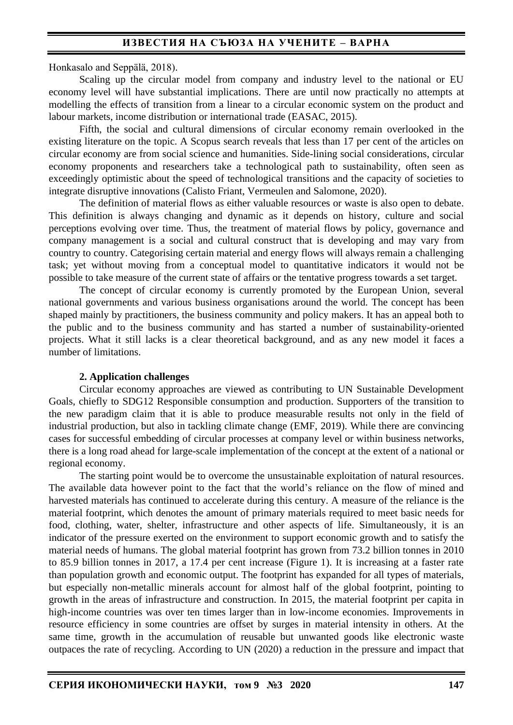Honkasalo and Seppälä, 2018).

Scaling up the circular model from company and industry level to the national or EU economy level will have substantial implications. There are until now practically no attempts at modelling the effects of transition from a linear to a circular economic system on the product and labour markets, income distribution or international trade (EASAC, 2015).

Fifth, the social and cultural dimensions of circular economy remain overlooked in the existing literature on the topic. A Scopus search reveals that less than 17 per cent of the articles on circular economy are from social science and humanities. Side-lining social considerations, circular economy proponents and researchers take a technological path to sustainability, often seen as exceedingly optimistic about the speed of technological transitions and the capacity of societies to integrate disruptive innovations (Calisto Friant, Vermeulen and Salomone, 2020).

The definition of material flows as either valuable resources or waste is also open to debate. This definition is always changing and dynamic as it depends on history, culture and social perceptions evolving over time. Thus, the treatment of material flows by policy, governance and company management is a social and cultural construct that is developing and may vary from country to country. Categorising certain material and energy flows will always remain a challenging task; yet without moving from a conceptual model to quantitative indicators it would not be possible to take measure of the current state of affairs or the tentative progress towards a set target.

The concept of circular economy is currently promoted by the European Union, several national governments and various business organisations around the world. The concept has been shaped mainly by practitioners, the business community and policy makers. It has an appeal both to the public and to the business community and has started a number of sustainability-oriented projects. What it still lacks is a clear theoretical background, and as any new model it faces a number of limitations.

## **2. Application challenges**

Circular economy approaches are viewed as contributing to UN Sustainable Development Goals, chiefly to SDG12 Responsible consumption and production. Supporters of the transition to the new paradigm claim that it is able to produce measurable results not only in the field of industrial production, but also in tackling climate change (EMF, 2019). While there are convincing cases for successful embedding of circular processes at company level or within business networks, there is a long road ahead for large-scale implementation of the concept at the extent of a national or regional economy.

The starting point would be to overcome the unsustainable exploitation of natural resources. The available data however point to the fact that the world's reliance on the flow of mined and harvested materials has continued to accelerate during this century. A measure of the reliance is the material footprint, which denotes the amount of primary materials required to meet basic needs for food, clothing, water, shelter, infrastructure and other aspects of life. Simultaneously, it is an indicator of the pressure exerted on the environment to support economic growth and to satisfy the material needs of humans. The global material footprint has grown from 73.2 billion tonnes in 2010 to 85.9 billion tonnes in 2017, a 17.4 per cent increase (Figure 1). It is increasing at a faster rate than population growth and economic output. The footprint has expanded for all types of materials, but especially non-metallic minerals account for almost half of the global footprint, pointing to growth in the areas of infrastructure and construction. In 2015, the material footprint per capita in high-income countries was over ten times larger than in low-income economies. Improvements in resource efficiency in some countries are offset by surges in material intensity in others. At the same time, growth in the accumulation of reusable but unwanted goods like electronic waste outpaces the rate of recycling. According to UN (2020) a reduction in the pressure and impact that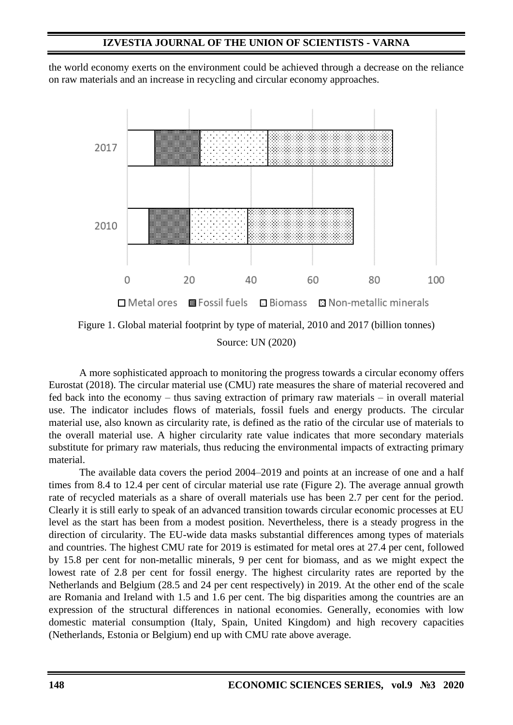the world economy exerts on the environment could be achieved through a decrease on the reliance on raw materials and an increase in recycling and circular economy approaches.



Source: UN (2020)

A more sophisticated approach to monitoring the progress towards a circular economy offers Eurostat (2018). The circular material use (CMU) rate measures the share of material recovered and fed back into the economy – thus saving extraction of primary raw materials – in overall material use. The indicator includes flows of materials, fossil fuels and energy products. The circular material use, also known as circularity rate, is defined as the ratio of the circular use of materials to the overall material use. A higher circularity rate value indicates that more secondary materials substitute for primary raw materials, thus reducing the environmental impacts of extracting primary material.

The available data covers the period 2004–2019 and points at an increase of one and a half times from 8.4 to 12.4 per cent of circular material use rate (Figure 2). The average annual growth rate of recycled materials as a share of overall materials use has been 2.7 per cent for the period. Clearly it is still early to speak of an advanced transition towards circular economic processes at EU level as the start has been from a modest position. Nevertheless, there is a steady progress in the direction of circularity. The EU-wide data masks substantial differences among types of materials and countries. The highest CMU rate for 2019 is estimated for metal ores at 27.4 per cent, followed by 15.8 per cent for non-metallic minerals, 9 per cent for biomass, and as we might expect the lowest rate of 2.8 per cent for fossil energy. The highest circularity rates are reported by the Netherlands and Belgium (28.5 and 24 per cent respectively) in 2019. At the other end of the scale are Romania and Ireland with 1.5 and 1.6 per cent. The big disparities among the countries are an expression of the structural differences in national economies. Generally, economies with low domestic material consumption (Italy, Spain, United Kingdom) and high recovery capacities (Netherlands, Estonia or Belgium) end up with CMU rate above average.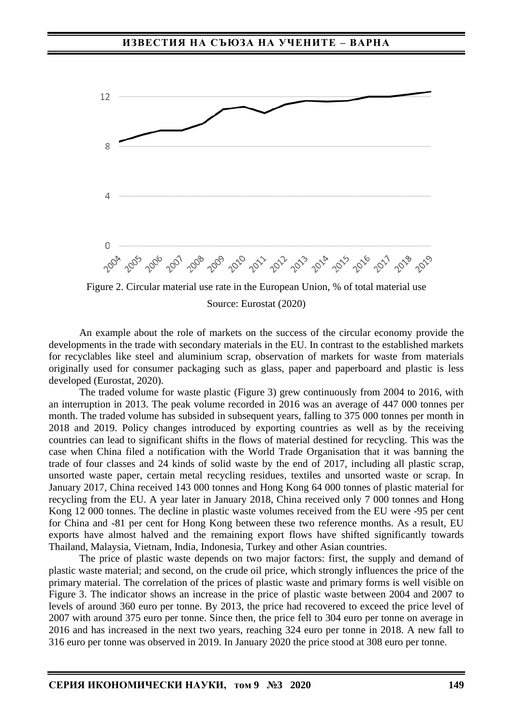

Source: Eurostat (2020)

An example about the role of markets on the success of the circular economy provide the developments in the trade with secondary materials in the EU. In contrast to the established markets for recyclables like steel and aluminium scrap, observation of markets for waste from materials originally used for consumer packaging such as glass, paper and paperboard and plastic is less developed (Eurostat, 2020).

The traded volume for waste plastic (Figure 3) grew continuously from 2004 to 2016, with an interruption in 2013. The peak volume recorded in 2016 was an average of 447 000 tonnes per month. The traded volume has subsided in subsequent years, falling to 375 000 tonnes per month in 2018 and 2019. Policy changes introduced by exporting countries as well as by the receiving countries can lead to significant shifts in the flows of material destined for recycling. This was the case when China filed a notification with the World Trade Organisation that it was banning the trade of four classes and 24 kinds of solid waste by the end of 2017, including all plastic scrap, unsorted waste paper, certain metal recycling residues, textiles and unsorted waste or scrap. In January 2017, China received 143 000 tonnes and Hong Kong 64 000 tonnes of plastic material for recycling from the EU. A year later in January 2018, China received only 7 000 tonnes and Hong Kong 12 000 tonnes. The decline in plastic waste volumes received from the EU were -95 per cent for China and -81 per cent for Hong Kong between these two reference months. As a result, EU exports have almost halved and the remaining export flows have shifted significantly towards Thailand, Malaysia, Vietnam, India, Indonesia, Turkey and other Asian countries.

The price of plastic waste depends on two major factors: first, the supply and demand of plastic waste material; and second, on the crude oil price, which strongly influences the price of the primary material. The correlation of the prices of plastic waste and primary forms is well visible on Figure 3. The indicator shows an increase in the price of plastic waste between 2004 and 2007 to levels of around 360 euro per tonne. By 2013, the price had recovered to exceed the price level of 2007 with around 375 euro per tonne. Since then, the price fell to 304 euro per tonne on average in 2016 and has increased in the next two years, reaching 324 euro per tonne in 2018. A new fall to 316 euro per tonne was observed in 2019. In January 2020 the price stood at 308 euro per tonne.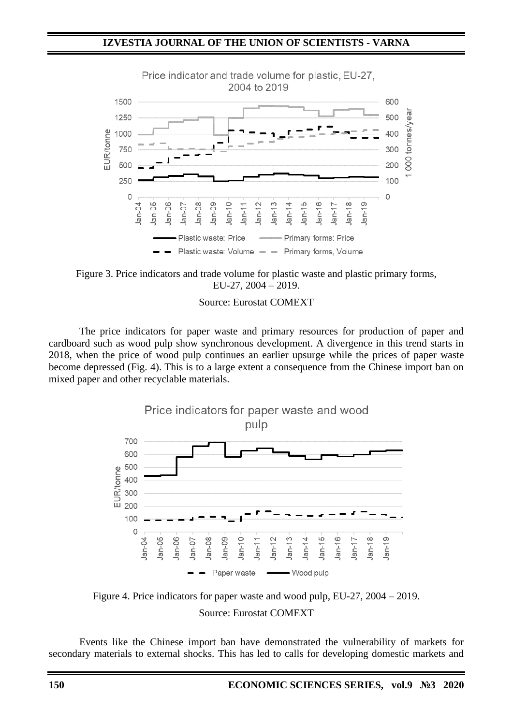

Figure 3. Price indicators and trade volume for plastic waste and plastic primary forms, EU-27, 2004 – 2019.

Source: Eurostat COMEXT

The price indicators for paper waste and primary resources for production of paper and cardboard such as wood pulp show synchronous development. A divergence in this trend starts in 2018, when the price of wood pulp continues an earlier upsurge while the prices of paper waste become depressed (Fig. 4). This is to a large extent a consequence from the Chinese import ban on mixed paper and other recyclable materials.



Figure 4. Price indicators for paper waste and wood pulp, EU-27, 2004 – 2019. Source: Eurostat COMEXT

Events like the Chinese import ban have demonstrated the vulnerability of markets for secondary materials to external shocks. This has led to calls for developing domestic markets and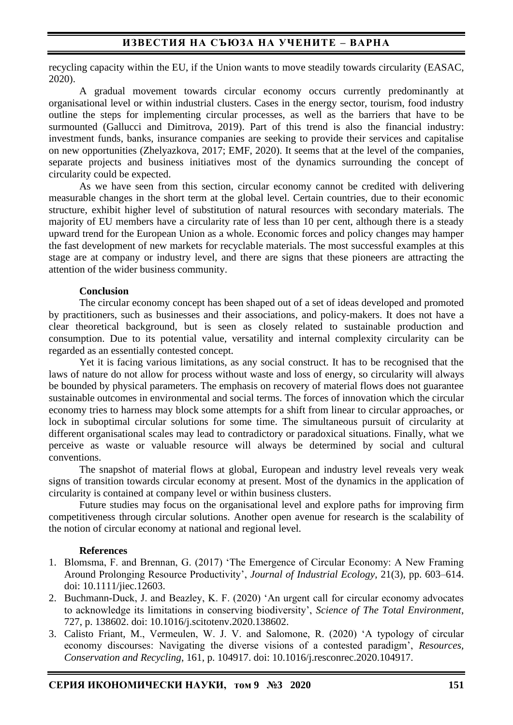## **ИЗВЕСТИЯ НА СЪЮЗА НА УЧЕНИТЕ – ВАРНА**

recycling capacity within the EU, if the Union wants to move steadily towards circularity (EASAC, 2020).

A gradual movement towards circular economy occurs currently predominantly at organisational level or within industrial clusters. Cases in the energy sector, tourism, food industry outline the steps for implementing circular processes, as well as the barriers that have to be surmounted (Gallucci and Dimitrova, 2019). Part of this trend is also the financial industry: investment funds, banks, insurance companies are seeking to provide their services and capitalise on new opportunities (Zhelyazkova, 2017; EMF, 2020). It seems that at the level of the companies, separate projects and business initiatives most of the dynamics surrounding the concept of circularity could be expected.

As we have seen from this section, circular economy cannot be credited with delivering measurable changes in the short term at the global level. Certain countries, due to their economic structure, exhibit higher level of substitution of natural resources with secondary materials. The majority of EU members have a circularity rate of less than 10 per cent, although there is a steady upward trend for the European Union as a whole. Economic forces and policy changes may hamper the fast development of new markets for recyclable materials. The most successful examples at this stage are at company or industry level, and there are signs that these pioneers are attracting the attention of the wider business community.

#### **Conclusion**

The circular economy concept has been shaped out of a set of ideas developed and promoted by practitioners, such as businesses and their associations, and policy-makers. It does not have a clear theoretical background, but is seen as closely related to sustainable production and consumption. Due to its potential value, versatility and internal complexity circularity can be regarded as an essentially contested concept.

Yet it is facing various limitations, as any social construct. It has to be recognised that the laws of nature do not allow for process without waste and loss of energy, so circularity will always be bounded by physical parameters. The emphasis on recovery of material flows does not guarantee sustainable outcomes in environmental and social terms. The forces of innovation which the circular economy tries to harness may block some attempts for a shift from linear to circular approaches, or lock in suboptimal circular solutions for some time. The simultaneous pursuit of circularity at different organisational scales may lead to contradictory or paradoxical situations. Finally, what we perceive as waste or valuable resource will always be determined by social and cultural conventions.

The snapshot of material flows at global, European and industry level reveals very weak signs of transition towards circular economy at present. Most of the dynamics in the application of circularity is contained at company level or within business clusters.

Future studies may focus on the organisational level and explore paths for improving firm competitiveness through circular solutions. Another open avenue for research is the scalability of the notion of circular economy at national and regional level.

### **References**

- 1. Blomsma, F. and Brennan, G. (2017) 'The Emergence of Circular Economy: A New Framing Around Prolonging Resource Productivity', *Journal of Industrial Ecology*, 21(3), pp. 603–614. doi: 10.1111/jiec.12603.
- 2. Buchmann-Duck, J. and Beazley, K. F. (2020) 'An urgent call for circular economy advocates to acknowledge its limitations in conserving biodiversity', *Science of The Total Environment*, 727, p. 138602. doi: 10.1016/j.scitotenv.2020.138602.
- 3. Calisto Friant, M., Vermeulen, W. J. V. and Salomone, R. (2020) 'A typology of circular economy discourses: Navigating the diverse visions of a contested paradigm', *Resources, Conservation and Recycling*, 161, p. 104917. doi: 10.1016/j.resconrec.2020.104917.